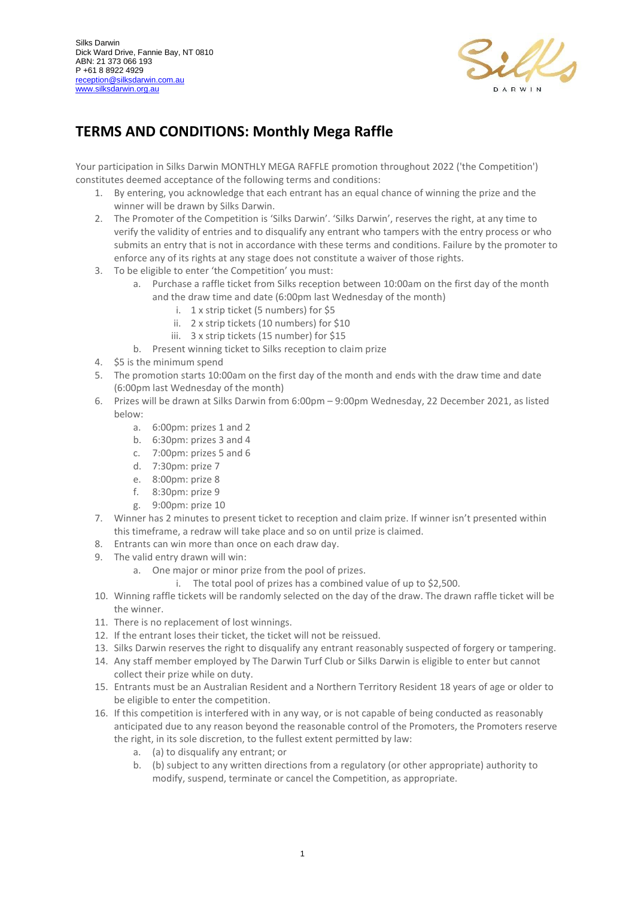

## **TERMS AND CONDITIONS: Monthly Mega Raffle**

Your participation in Silks Darwin MONTHLY MEGA RAFFLE promotion throughout 2022 ('the Competition') constitutes deemed acceptance of the following terms and conditions:

- 1. By entering, you acknowledge that each entrant has an equal chance of winning the prize and the winner will be drawn by Silks Darwin.
- 2. The Promoter of the Competition is 'Silks Darwin'. 'Silks Darwin', reserves the right, at any time to verify the validity of entries and to disqualify any entrant who tampers with the entry process or who submits an entry that is not in accordance with these terms and conditions. Failure by the promoter to enforce any of its rights at any stage does not constitute a waiver of those rights.
- 3. To be eligible to enter 'the Competition' you must:
	- a. Purchase a raffle ticket from Silks reception between 10:00am on the first day of the month and the draw time and date (6:00pm last Wednesday of the month)
		- i. 1 x strip ticket (5 numbers) for \$5
		- ii. 2 x strip tickets (10 numbers) for \$10
		- iii. 3 x strip tickets (15 number) for \$15
	- b. Present winning ticket to Silks reception to claim prize
- 4. \$5 is the minimum spend
- 5. The promotion starts 10:00am on the first day of the month and ends with the draw time and date (6:00pm last Wednesday of the month)
- 6. Prizes will be drawn at Silks Darwin from 6:00pm 9:00pm Wednesday, 22 December 2021, as listed below:
	- a. 6:00pm: prizes 1 and 2
	- b. 6:30pm: prizes 3 and 4
	- c. 7:00pm: prizes 5 and 6
	- d. 7:30pm: prize 7
	- e. 8:00pm: prize 8
	- f. 8:30pm: prize 9
	- g. 9:00pm: prize 10
- 7. Winner has 2 minutes to present ticket to reception and claim prize. If winner isn't presented within this timeframe, a redraw will take place and so on until prize is claimed.
- 8. Entrants can win more than once on each draw day.
- 9. The valid entry drawn will win:
	- a. One major or minor prize from the pool of prizes.
		- i. The total pool of prizes has a combined value of up to \$2,500.
- 10. Winning raffle tickets will be randomly selected on the day of the draw. The drawn raffle ticket will be the winner.
- 11. There is no replacement of lost winnings.
- 12. If the entrant loses their ticket, the ticket will not be reissued.
- 13. Silks Darwin reserves the right to disqualify any entrant reasonably suspected of forgery or tampering.
- 14. Any staff member employed by The Darwin Turf Club or Silks Darwin is eligible to enter but cannot collect their prize while on duty.
- 15. Entrants must be an Australian Resident and a Northern Territory Resident 18 years of age or older to be eligible to enter the competition.
- 16. If this competition is interfered with in any way, or is not capable of being conducted as reasonably anticipated due to any reason beyond the reasonable control of the Promoters, the Promoters reserve the right, in its sole discretion, to the fullest extent permitted by law:
	- a. (a) to disqualify any entrant; or
	- b. (b) subject to any written directions from a regulatory (or other appropriate) authority to modify, suspend, terminate or cancel the Competition, as appropriate.